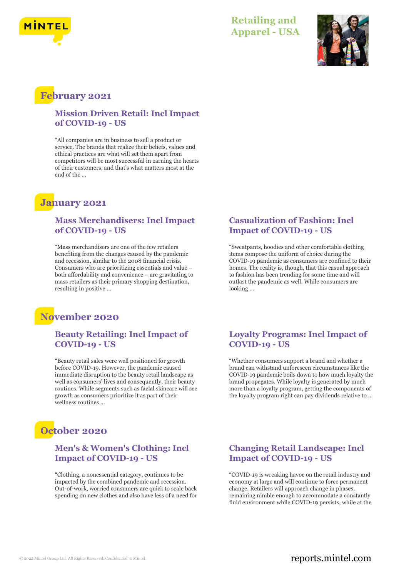



### **February 2021**

#### **Mission Driven Retail: Incl Impact of COVID-19 - US**

"All companies are in business to sell a product or service. The brands that realize their beliefs, values and ethical practices are what will set them apart from competitors will be most successful in earning the hearts of their customers, and that's what matters most at the end of the ...

### **January 2021**

#### **Mass Merchandisers: Incl Impact of COVID-19 - US**

"Mass merchandisers are one of the few retailers benefiting from the changes caused by the pandemic and recession, similar to the 2008 financial crisis. Consumers who are prioritizing essentials and value – both affordability and convenience – are gravitating to mass retailers as their primary shopping destination, resulting in positive ...

### **November 2020**

#### **Beauty Retailing: Incl Impact of COVID-19 - US**

"Beauty retail sales were well positioned for growth before COVID-19. However, the pandemic caused immediate disruption to the beauty retail landscape as well as consumers' lives and consequently, their beauty routines. While segments such as facial skincare will see growth as consumers prioritize it as part of their wellness routines ...

### **October 2020**

#### **Men's & Women's Clothing: Incl Impact of COVID-19 - US**

"Clothing, a nonessential category, continues to be impacted by the combined pandemic and recession. Out-of-work, worried consumers are quick to scale back spending on new clothes and also have less of a need for

#### **Casualization of Fashion: Incl Impact of COVID-19 - US**

"Sweatpants, hoodies and other comfortable clothing items compose the uniform of choice during the COVID-19 pandemic as consumers are confined to their homes. The reality is, though, that this casual approach to fashion has been trending for some time and will outlast the pandemic as well. While consumers are looking ...

#### **Loyalty Programs: Incl Impact of COVID-19 - US**

"Whether consumers support a brand and whether a brand can withstand unforeseen circumstances like the COVID-19 pandemic boils down to how much loyalty the brand propagates. While loyalty is generated by much more than a loyalty program, getting the components of the loyalty program right can pay dividends relative to ...

#### **Changing Retail Landscape: Incl Impact of COVID-19 - US**

"COVID-19 is wreaking havoc on the retail industry and economy at large and will continue to force permanent change. Retailers will approach change in phases, remaining nimble enough to accommodate a constantly fluid environment while COVID-19 persists, while at the

### © 2022 Mintel Group Ltd. All Rights Reserved. Confidential to Mintel.  $\blacksquare$  reports.mintel.com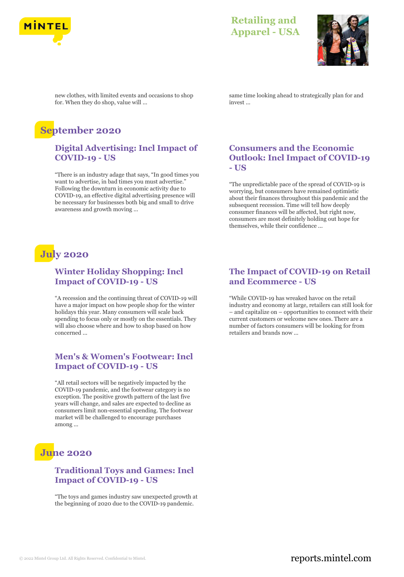



new clothes, with limited events and occasions to shop for. When they do shop, value will ...

## **September 2020**

#### **Digital Advertising: Incl Impact of COVID-19 - US**

"There is an industry adage that says, "In good times you want to advertise, in bad times you must advertise." Following the downturn in economic activity due to COVID-19, an effective digital advertising presence will be necessary for businesses both big and small to drive awareness and growth moving ...

# **July 2020**

#### **Winter Holiday Shopping: Incl Impact of COVID-19 - US**

"A recession and the continuing threat of COVID-19 will have a major impact on how people shop for the winter holidays this year. Many consumers will scale back spending to focus only or mostly on the essentials. They will also choose where and how to shop based on how concerned ...

#### **Men's & Women's Footwear: Incl Impact of COVID-19 - US**

"All retail sectors will be negatively impacted by the COVID-19 pandemic, and the footwear category is no exception. The positive growth pattern of the last five years will change, and sales are expected to decline as consumers limit non-essential spending. The footwear market will be challenged to encourage purchases among ...

### **June 2020**

#### **Traditional Toys and Games: Incl Impact of COVID-19 - US**

"The toys and games industry saw unexpected growth at the beginning of 2020 due to the COVID-19 pandemic.

same time looking ahead to strategically plan for and invest ...

#### **Consumers and the Economic Outlook: Incl Impact of COVID-19 - US**

"The unpredictable pace of the spread of COVID-19 is worrying, but consumers have remained optimistic about their finances throughout this pandemic and the subsequent recession. Time will tell how deeply consumer finances will be affected, but right now, consumers are most definitely holding out hope for themselves, while their confidence ...

#### **The Impact of COVID-19 on Retail and Ecommerce - US**

"While COVID-19 has wreaked havoc on the retail industry and economy at large, retailers can still look for – and capitalize on – opportunities to connect with their current customers or welcome new ones. There are a number of factors consumers will be looking for from retailers and brands now ...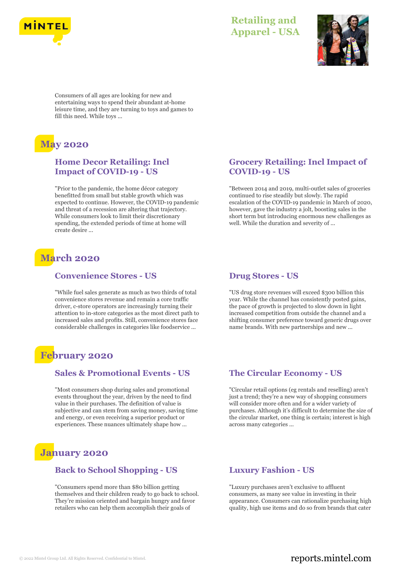



Consumers of all ages are looking for new and entertaining ways to spend their abundant at-home leisure time, and they are turning to toys and games to fill this need. While toys ...

# **May 2020**

#### **Home Decor Retailing: Incl Impact of COVID-19 - US**

"Prior to the pandemic, the home décor category benefitted from small but stable growth which was expected to continue. However, the COVID-19 pandemic and threat of a recession are altering that trajectory. While consumers look to limit their discretionary spending, the extended periods of time at home will create desire ...

## **March 2020**

#### **Convenience Stores - US**

"While fuel sales generate as much as two thirds of total convenience stores revenue and remain a core traffic driver, c-store operators are increasingly turning their attention to in-store categories as the most direct path to increased sales and profits. Still, convenience stores face considerable challenges in categories like foodservice ...

### **February 2020**

#### **Sales & Promotional Events - US**

"Most consumers shop during sales and promotional events throughout the year, driven by the need to find value in their purchases. The definition of value is subjective and can stem from saving money, saving time and energy, or even receiving a superior product or experiences. These nuances ultimately shape how ...

### **January 2020**

#### **Back to School Shopping - US**

"Consumers spend more than \$80 billion getting themselves and their children ready to go back to school. They're mission oriented and bargain hungry and favor retailers who can help them accomplish their goals of

#### **Grocery Retailing: Incl Impact of COVID-19 - US**

"Between 2014 and 2019, multi-outlet sales of groceries continued to rise steadily but slowly. The rapid escalation of the COVID-19 pandemic in March of 2020, however, gave the industry a jolt, boosting sales in the short term but introducing enormous new challenges as well. While the duration and severity of ...

#### **Drug Stores - US**

"US drug store revenues will exceed \$300 billion this year. While the channel has consistently posted gains, the pace of growth is projected to slow down in light increased competition from outside the channel and a shifting consumer preference toward generic drugs over name brands. With new partnerships and new ...

#### **The Circular Economy - US**

"Circular retail options (eg rentals and reselling) aren't just a trend; they're a new way of shopping consumers will consider more often and for a wider variety of purchases. Although it's difficult to determine the size of the circular market, one thing is certain; interest is high across many categories ...

#### **Luxury Fashion - US**

"Luxury purchases aren't exclusive to affluent consumers, as many see value in investing in their appearance. Consumers can rationalize purchasing high quality, high use items and do so from brands that cater